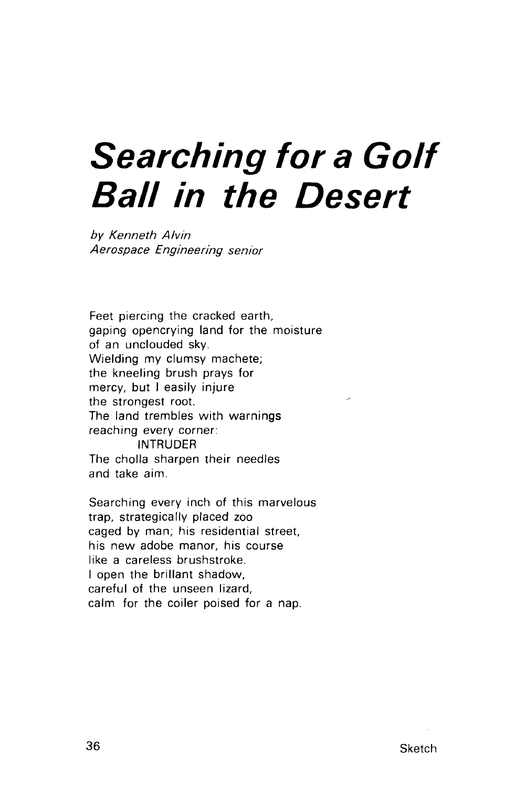## **Searching for a Golf Ball in the Desert**

by Kenneth Alvin Aerospace Engineering senior

Feet piercing the cracked earth, gaping opencrying land for the moisture of an unclouded sky. Wielding my clumsy machete; the kneeling brush prays for mercy, but I easily injure the strongest root. The land trembles with warnings reaching every corner: INTRUDER The cholla sharpen their needles and take aim.

Searching every inch of this marvelous trap, strategically placed zoo caged by man; his residential street, his new adobe manor, his course like a careless brushstroke. I open the brillant shadow, careful of the unseen lizard, calm for the coiler poised for a nap.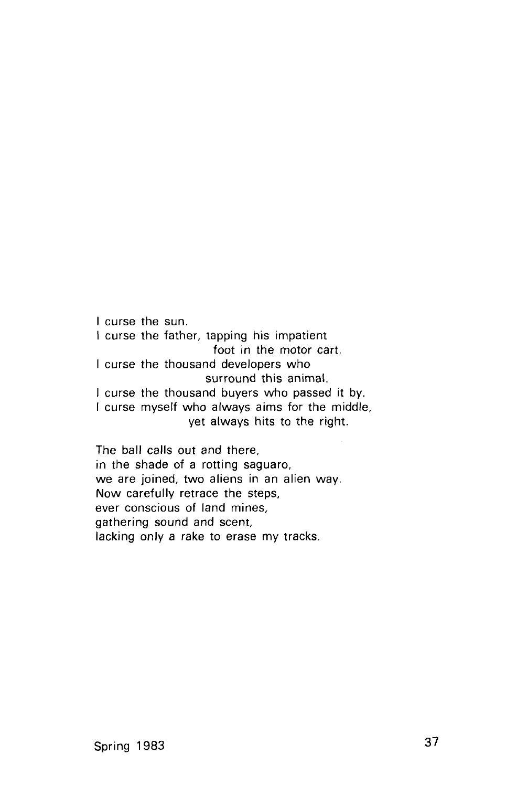I curse the sun. I curse the father, tapping his impatient foot in the motor cart. I curse the thousand developers who surround this animal. I curse the thousand buyers who passed it by. I curse myself who always aims for the middle, yet always hits to the right.

The ball calls out and there, in the shade of a rotting saguaro, we are joined, two aliens in an alien way. Now carefully retrace the steps, ever conscious of land mines, gathering sound and scent, lacking only a rake to erase my tracks.